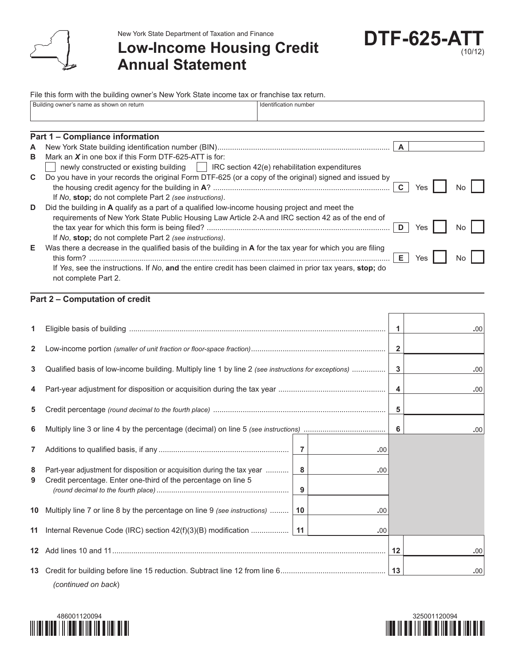

New York State Department of Taxation and Finance

## **Low-Income Housing Credit Annual Statement**



File this form with the building owner's New York State income tax or franchise tax return.

|    | Building owner's name as shown on return<br>Identification number                                          |  |  |  |  |  |  |  |
|----|------------------------------------------------------------------------------------------------------------|--|--|--|--|--|--|--|
|    |                                                                                                            |  |  |  |  |  |  |  |
|    | Part 1 - Compliance information                                                                            |  |  |  |  |  |  |  |
| A  |                                                                                                            |  |  |  |  |  |  |  |
| B  | Mark an $X$ in one box if this Form DTF-625-ATT is for:                                                    |  |  |  |  |  |  |  |
|    | newly constructed or existing building     IRC section 42(e) rehabilitation expenditures                   |  |  |  |  |  |  |  |
| C. | Do you have in your records the original Form DTF-625 (or a copy of the original) signed and issued by     |  |  |  |  |  |  |  |
|    | Yes<br>No.                                                                                                 |  |  |  |  |  |  |  |
|    | If No, stop; do not complete Part 2 (see instructions).                                                    |  |  |  |  |  |  |  |
| D  | Did the building in A qualify as a part of a qualified low-income housing project and meet the             |  |  |  |  |  |  |  |
|    | requirements of New York State Public Housing Law Article 2-A and IRC section 42 as of the end of          |  |  |  |  |  |  |  |
|    | D<br>No.<br>Yes                                                                                            |  |  |  |  |  |  |  |
|    | If No, stop; do not complete Part 2 (see instructions).                                                    |  |  |  |  |  |  |  |
| Е  | Was there a decrease in the qualified basis of the building in A for the tax year for which you are filing |  |  |  |  |  |  |  |
|    | Е.<br>Yes<br>No                                                                                            |  |  |  |  |  |  |  |
|    | If Yes, see the instructions. If No, and the entire credit has been claimed in prior tax years, stop; do   |  |  |  |  |  |  |  |
|    | not complete Part 2.                                                                                       |  |  |  |  |  |  |  |

## **Part 2 – Computation of credit**

| 1.              |                                                                                                     |    |     | 1                       | .00 |
|-----------------|-----------------------------------------------------------------------------------------------------|----|-----|-------------------------|-----|
| $\mathbf{2}$    |                                                                                                     |    |     | $\overline{\mathbf{2}}$ |     |
| 3               | Qualified basis of low-income building. Multiply line 1 by line 2 (see instructions for exceptions) |    |     | 3                       | .00 |
| 4               |                                                                                                     |    |     | 4                       | .00 |
| 5               |                                                                                                     |    |     | 5                       |     |
| 6               |                                                                                                     |    |     | 6                       | .00 |
| $\overline{7}$  |                                                                                                     |    | .00 |                         |     |
| 8               | Part-year adjustment for disposition or acquisition during the tax year                             | 8  | .00 |                         |     |
| 9               | Credit percentage. Enter one-third of the percentage on line 5                                      | 9  |     |                         |     |
| 10              | Multiply line 7 or line 8 by the percentage on line 9 (see instructions)                            | 10 | .00 |                         |     |
| 11              |                                                                                                     |    | .00 |                         |     |
| 12 <sup>1</sup> |                                                                                                     |    |     | 12                      | .00 |
| 13              | (continued on back)                                                                                 |    |     | 13                      | .00 |